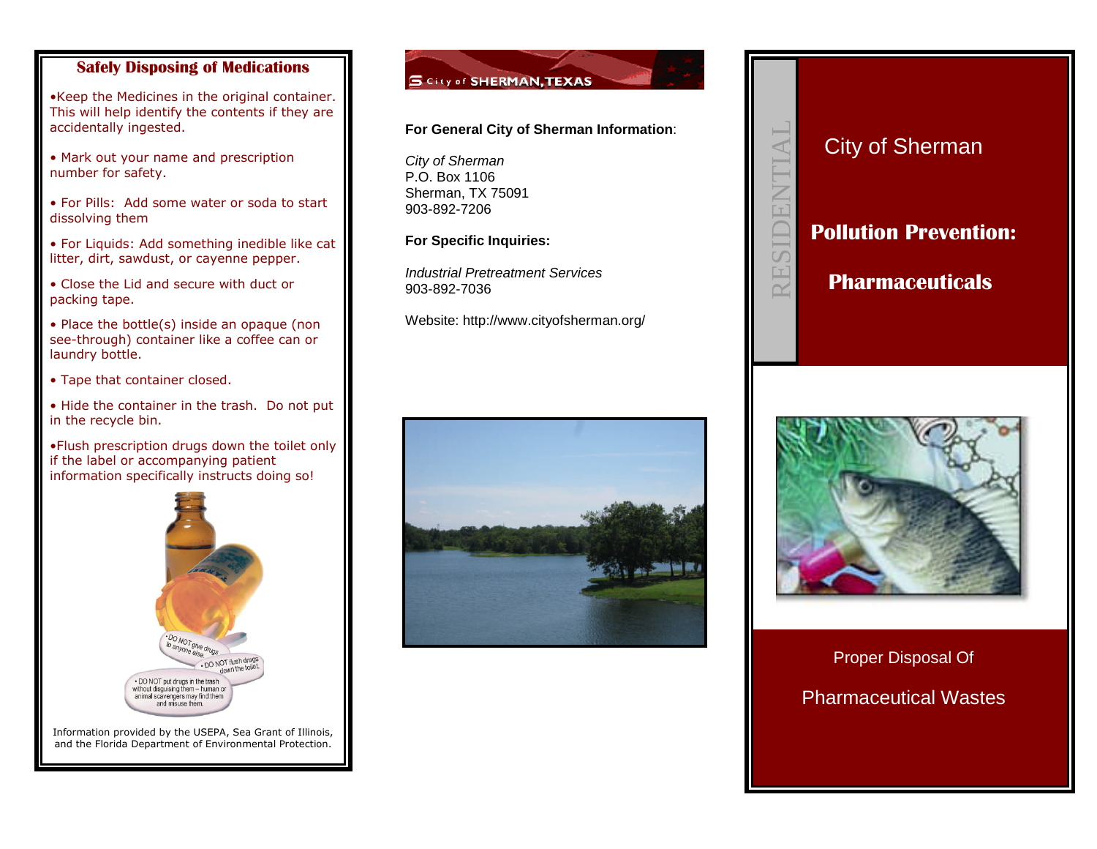# **Safely Disposing of Medications**

•Keep the Medicines in the original container. This will help identify the contents if they are accidentally ingested.

• Mark out your name and prescription number for safety.

• For Pills: Add some water or soda to start dissolving them

• For Liquids: Add something inedible like cat litter, dirt, sawdust, or cayenne pepper.

• Close the Lid and secure with duct or packing tape.

• Place the bottle(s) inside an opaque (non see-through) container like a coffee can or laundry bottle.

• Tape that container closed.

• Hide the container in the trash. Do not put in the recycle bin.

•Flush prescription drugs down the toilet only if the label or accompanying patient information specifically instructs doing so!



Information provided by the USEPA, Sea Grant of Illinois, and the Florida Department of Environmental Protection.

# S City of SHERMAN, TEXAS

## **For General City of Sherman Information**:

*City of Sherman* P.O. Box 1106 Sherman, TX 75091 903-892-7206

**For Specific Inquiries:**

*Industrial Pretreatment Services* 903-892-7036

Website: http://www.cityofsherman.org/







Proper Disposal Of

Pharmaceutical Wastes